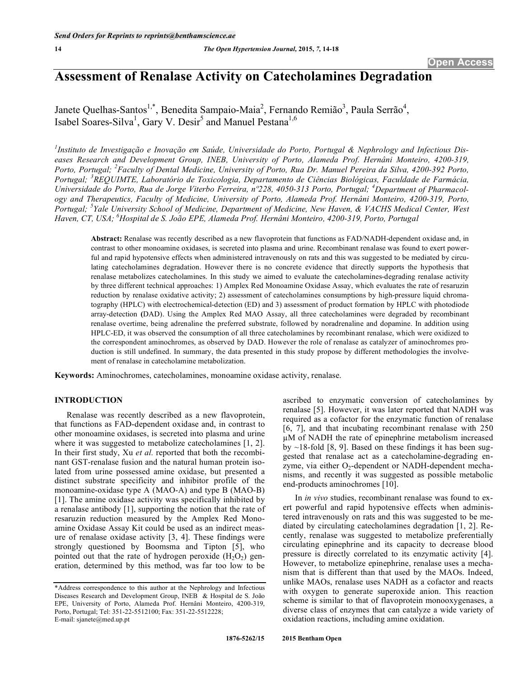# **Assessment of Renalase Activity on Catecholamines Degradation**

Janete Quelhas-Santos<sup>1,\*</sup>, Benedita Sampaio-Maia<sup>2</sup>, Fernando Remião<sup>3</sup>, Paula Serrão<sup>4</sup>, Isabel Soares-Silva<sup>1</sup>, Gary V. Desir<sup>5</sup> and Manuel Pestana<sup>1,6</sup>

*1 Instituto de Investigação e Inovação em Saúde, Universidade do Porto, Portugal & Nephrology and Infectious Diseases Research and Development Group, INEB, University of Porto, Alameda Prof. Hernâni Monteiro, 4200-319, Porto, Portugal; <sup>2</sup> Faculty of Dental Medicine, University of Porto, Rua Dr. Manuel Pereira da Silva, 4200-392 Porto, Portugal; <sup>3</sup> REQUIMTE, Laboratório de Toxicologia, Departamento de Ciências Biológicas, Faculdade de Farmácia,*  Universidade do Porto, Rua de Jorge Viterbo Ferreira, nº228, 4050-313 Porto, Portugal; <sup>4</sup>Department of Pharmacol*ogy and Therapeutics, Faculty of Medicine, University of Porto, Alameda Prof. Hernâni Monteiro, 4200-319, Porto, Portugal; <sup>5</sup> Yale University School of Medicine, Department of Medicine, New Haven, & VACHS Medical Center, West Haven, CT, USA; 6 Hospital de S. João EPE, Alameda Prof. Hernâni Monteiro, 4200-319, Porto, Portugal* 

**Abstract:** Renalase was recently described as a new flavoprotein that functions as FAD/NADH-dependent oxidase and, in contrast to other monoamine oxidases, is secreted into plasma and urine. Recombinant renalase was found to exert powerful and rapid hypotensive effects when administered intravenously on rats and this was suggested to be mediated by circulating catecholamines degradation. However there is no concrete evidence that directly supports the hypothesis that renalase metabolizes catecholamines. In this study we aimed to evaluate the catecholamines-degrading renalase activity by three different technical approaches: 1) Amplex Red Monoamine Oxidase Assay, which evaluates the rate of resaruzin reduction by renalase oxidative activity; 2) assessment of catecholamines consumptions by high-pressure liquid chromatography (HPLC) with electrochemical-detection (ED) and 3) assessment of product formation by HPLC with photodiode array-detection **(**DAD). Using the Amplex Red MAO Assay, all three catecholamines were degraded by recombinant renalase overtime, being adrenaline the preferred substrate, followed by noradrenaline and dopamine. In addition using HPLC-ED, it was observed the consumption of all three catecholamines by recombinant renalase, which were oxidized to the correspondent aminochromes, as observed by DAD. However the role of renalase as catalyzer of aminochromes production is still undefined. In summary, the data presented in this study propose by different methodologies the involvement of renalase in catecholamine metabolization.

**Keywords:** Aminochromes, catecholamines, monoamine oxidase activity, renalase.

# **INTRODUCTION**

Renalase was recently described as a new flavoprotein, that functions as FAD-dependent oxidase and, in contrast to other monoamine oxidases, is secreted into plasma and urine where it was suggested to metabolize catecholamines [1, 2]. In their first study, Xu *et al.* reported that both the recombinant GST-renalase fusion and the natural human protein isolated from urine possessed amine oxidase, but presented a distinct substrate specificity and inhibitor profile of the monoamine-oxidase type A (MAO-A) and type B (MAO-B) [1]. The amine oxidase activity was specifically inhibited by a renalase antibody [1], supporting the notion that the rate of resaruzin reduction measured by the Amplex Red Monoamine Oxidase Assay Kit could be used as an indirect measure of renalase oxidase activity [3, 4]. These findings were strongly questioned by Boomsma and Tipton [5], who pointed out that the rate of hydrogen peroxide  $(H_2O_2)$  generation, determined by this method, was far too low to be

ascribed to enzymatic conversion of catecholamines by renalase [5]. However, it was later reported that NADH was required as a cofactor for the enzymatic function of renalase [6, 7], and that incubating recombinant renalase with 250 M of NADH the rate of epinephrine metabolism increased by  $\sim$ 18-fold [8, 9]. Based on these findings it has been suggested that renalase act as a catecholamine-degrading enzyme, via either  $O_2$ -dependent or NADH-dependent mechanisms, and recently it was suggested as possible metabolic end-products aminochromes [10].

In *in vivo* studies, recombinant renalase was found to exert powerful and rapid hypotensive effects when administered intravenously on rats and this was suggested to be mediated by circulating catecholamines degradation [1, 2]. Recently, renalase was suggested to metabolize preferentially circulating epinephrine and its capacity to decrease blood pressure is directly correlated to its enzymatic activity [4]. However, to metabolize epinephrine, renalase uses a mechanism that is different than that used by the MAOs. Indeed, unlike MAOs, renalase uses NADH as a cofactor and reacts with oxygen to generate superoxide anion. This reaction scheme is similar to that of flavoprotein monooxygenases, a diverse class of enzymes that can catalyze a wide variety of oxidation reactions, including amine oxidation.

<sup>\*</sup>Address correspondence to this author at the Nephrology and Infectious Diseases Research and Development Group, INEB & Hospital de S. João EPE, University of Porto, Alameda Prof. Hernâni Monteiro, 4200-319, Porto, Portugal; Tel: 351-22-5512100; Fax: 351-22-5512228; E-mail: sjanete@med.up.pt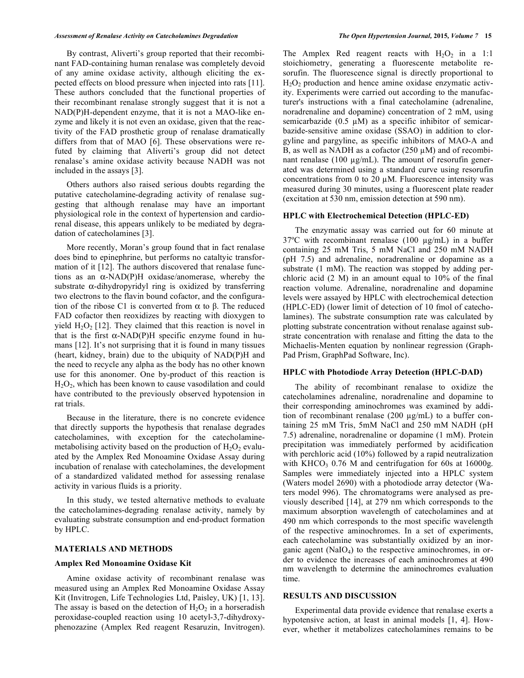By contrast, Aliverti's group reported that their recombinant FAD-containing human renalase was completely devoid of any amine oxidase activity, although eliciting the expected effects on blood pressure when injected into rats [11]. These authors concluded that the functional properties of their recombinant renalase strongly suggest that it is not a NAD(P)H-dependent enzyme, that it is not a MAO-like enzyme and likely it is not even an oxidase, given that the reactivity of the FAD prosthetic group of renalase dramatically differs from that of MAO [6]. These observations were refuted by claiming that Aliverti's group did not detect renalase's amine oxidase activity because NADH was not included in the assays [3].

Others authors also raised serious doubts regarding the putative catecholamine-degrading activity of renalase suggesting that although renalase may have an important physiological role in the context of hypertension and cardiorenal disease, this appears unlikely to be mediated by degradation of catecholamines [3].

More recently, Moran's group found that in fact renalase does bind to epinephrine, but performs no cataltyic transformation of it [12]. The authors discovered that renalase functions as an  $\alpha$ -NAD(P)H oxidase/anomerase, whereby the substrate  $\alpha$ -dihydropyridyl ring is oxidized by transferring two electrons to the flavin bound cofactor, and the configuration of the ribose C1 is converted from  $\alpha$  to  $\beta$ . The reduced FAD cofactor then reoxidizes by reacting with dioxygen to yield  $H_2O_2$  [12]. They claimed that this reaction is novel in that is the first  $\alpha$ -NAD(P)H specific enzyme found in humans [12]. It's not surprising that it is found in many tissues (heart, kidney, brain) due to the ubiquity of NAD(P)H and the need to recycle any alpha as the body has no other known use for this anonomer. One by-product of this reaction is  $H<sub>2</sub>O<sub>2</sub>$ , which has been known to cause vasodilation and could have contributed to the previously observed hypotension in rat trials.

Because in the literature, there is no concrete evidence that directly supports the hypothesis that renalase degrades catecholamines, with exception for the catecholaminemetabolising activity based on the production of  $H_2O_2$  evaluated by the Amplex Red Monoamine Oxidase Assay during incubation of renalase with catecholamines, the development of a standardized validated method for assessing renalase activity in various fluids is a priority.

In this study, we tested alternative methods to evaluate the catecholamines-degrading renalase activity, namely by evaluating substrate consumption and end-product formation by HPLC.

#### **MATERIALS AND METHODS**

#### **Amplex Red Monoamine Oxidase Kit**

Amine oxidase activity of recombinant renalase was measured using an Amplex Red Monoamine Oxidase Assay Kit (Invitrogen, Life Technologies Ltd, Paisley, UK) [1, 13]. The assay is based on the detection of  $H_2O_2$  in a horseradish peroxidase-coupled reaction using 10 acetyl-3,7-dihydroxyphenozazine (Amplex Red reagent Resaruzin, Invitrogen). The Amplex Red reagent reacts with  $H_2O_2$  in a 1:1 stoichiometry, generating a fluorescente metabolite resorufin. The fluorescence signal is directly proportional to  $H_2O_2$  production and hence amine oxidase enzymatic activity. Experiments were carried out according to the manufacturer's instructions with a final catecholamine (adrenaline, noradrenaline and dopamine) concentration of 2 mM, using semicarbazide (0.5  $\mu$ M) as a specific inhibitor of semicarbazide-sensitive amine oxidase (SSAO) in addition to clorgyline and pargyline, as specific inhibitors of MAO-A and B, as well as NADH as a cofactor  $(250 \mu M)$  and of recombinant renalase (100  $\mu$ g/mL). The amount of resorufin generated was determined using a standard curve using resorufin concentrations from 0 to 20  $\mu$ M. Fluorescence intensity was measured during 30 minutes, using a fluorescent plate reader (excitation at 530 nm, emission detection at 590 nm).

#### **HPLC with Electrochemical Detection (HPLC-ED)**

The enzymatic assay was carried out for 60 minute at  $37^{\circ}$ C with recombinant renalase (100  $\mu$ g/mL) in a buffer containing 25 mM Tris, 5 mM NaCl and 250 mM NADH (pH 7.5) and adrenaline, noradrenaline or dopamine as a substrate (1 mM). The reaction was stopped by adding perchloric acid (2 M) in an amount equal to 10% of the final reaction volume. Adrenaline, noradrenaline and dopamine levels were assayed by HPLC with electrochemical detection (HPLC-ED) (lower limit of detection of 10 fmol of catecholamines). The substrate consumption rate was calculated by plotting substrate concentration without renalase against substrate concentration with renalase and fitting the data to the Michaelis-Menten equation by nonlinear regression (Graph-Pad Prism, GraphPad Software, Inc).

# **HPLC with Photodiode Array Detection (HPLC-DAD)**

The ability of recombinant renalase to oxidize the catecholamines adrenaline, noradrenaline and dopamine to their corresponding aminochromes was examined by addition of recombinant renalase  $(200 \mu g/mL)$  to a buffer containing 25 mM Tris, 5mM NaCl and 250 mM NADH (pH 7.5) adrenaline, noradrenaline or dopamine (1 mM). Protein precipitation was immediately performed by acidification with perchloric acid (10%) followed by a rapid neutralization with KHCO<sub>3</sub> 0.76 M and centrifugation for 60s at 16000g. Samples were immediately injected into a HPLC system (Waters model 2690) with a photodiode array detector (Waters model 996). The chromatograms were analysed as previously described [14], at 279 nm which corresponds to the maximum absorption wavelength of catecholamines and at 490 nm which corresponds to the most specific wavelength of the respective aminochromes. In a set of experiments, each catecholamine was substantially oxidized by an inorganic agent (NaIO4) to the respective aminochromes, in order to evidence the increases of each aminochromes at 490 nm wavelength to determine the aminochromes evaluation time.

#### **RESULTS AND DISCUSSION**

Experimental data provide evidence that renalase exerts a hypotensive action, at least in animal models [1, 4]. However, whether it metabolizes catecholamines remains to be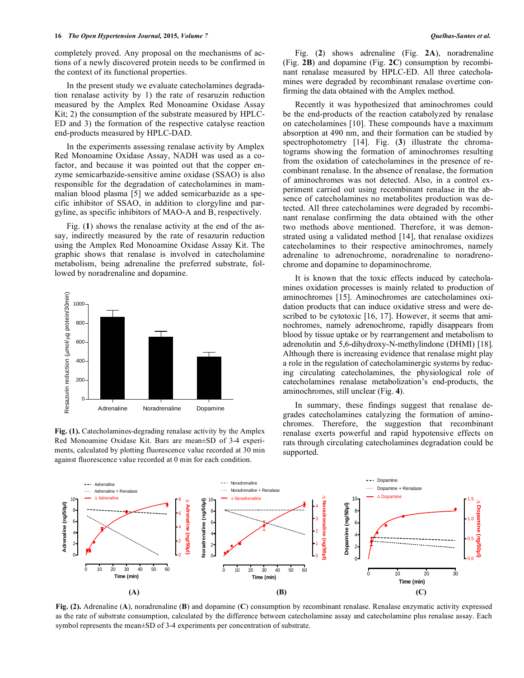completely proved. Any proposal on the mechanisms of actions of a newly discovered protein needs to be confirmed in the context of its functional properties.

In the present study we evaluate catecholamines degradation renalase activity by 1) the rate of resaruzin reduction measured by the Amplex Red Monoamine Oxidase Assay Kit; 2) the consumption of the substrate measured by HPLC-ED and 3) the formation of the respective catalyse reaction end-products measured by HPLC-DAD.

In the experiments assessing renalase activity by Amplex Red Monoamine Oxidase Assay, NADH was used as a cofactor, and because it was pointed out that the copper enzyme semicarbazide-sensitive amine oxidase (SSAO) is also responsible for the degradation of catecholamines in mammalian blood plasma [5] we added semicarbazide as a specific inhibitor of SSAO, in addition to clorgyline and pargyline, as specific inhibitors of MAO-A and B, respectively.

Fig. (**1**) shows the renalase activity at the end of the assay, indirectly measured by the rate of resazurin reduction using the Amplex Red Monoamine Oxidase Assay Kit. The graphic shows that renalase is involved in catecholamine metabolism, being adrenaline the preferred substrate, followed by noradrenaline and dopamine.



Fig. (1). Catecholamines-degrading renalase activity by the Amplex Red Monoamine Oxidase Kit. Bars are mean±SD of 3-4 experiments, calculated by plotting fluorescence value recorded at 30 min against fluorescence value recorded at 0 min for each condition.

Fig. (**2**) shows adrenaline (Fig. **2A**), noradrenaline (Fig. **2B**) and dopamine (Fig. **2C**) consumption by recombinant renalase measured by HPLC-ED. All three catecholamines were degraded by recombinant renalase overtime confirming the data obtained with the Amplex method.

Recently it was hypothesized that aminochromes could be the end-products of the reaction catabolyzed by renalase on catecholamines [10]. These compounds have a maximum absorption at 490 nm, and their formation can be studied by spectrophotometry [14]. Fig. (**3**) illustrate the chromatograms showing the formation of aminochromes resulting from the oxidation of catecholamines in the presence of recombinant renalase. In the absence of renalase, the formation of aminochromes was not detected. Also, in a control experiment carried out using recombinant renalase in the absence of catecholamines no metabolites production was detected. All three catecholamines were degraded by recombinant renalase confirming the data obtained with the other two methods above mentioned. Therefore, it was demonstrated using a validated method [14], that renalase oxidizes catecholamines to their respective aminochromes, namely adrenaline to adrenochrome, noradrenaline to noradrenochrome and dopamine to dopaminochrome.

It is known that the toxic effects induced by catecholamines oxidation processes is mainly related to production of aminochromes [15]. Aminochromes are catecholamines oxidation products that can induce oxidative stress and were described to be cytotoxic [16, 17]. However, it seems that aminochromes, namely adrenochrome, rapidly disappears from blood by tissue uptake or by rearrangement and metabolism to adrenolutin and 5,6-dihydroxy-N-methylindone (DHMI) [18]. Although there is increasing evidence that renalase might play a role in the regulation of catecholaminergic systems by reducing circulating catecholamines, the physiological role of catecholamines renalase metabolization's end-products, the aminochromes, still unclear (Fig. **4**).

In summary, these findings suggest that renalase degrades catecholamines catalyzing the formation of aminochromes. Therefore, the suggestion that recombinant renalase exerts powerful and rapid hypotensive effects on rats through circulating catecholamines degradation could be supported.



**Fig. (2).** Adrenaline (**A**), noradrenaline (**B**) and dopamine (**C**) consumption by recombinant renalase. Renalase enzymatic activity expressed as the rate of substrate consumption, calculated by the difference between catecholamine assay and catecholamine plus renalase assay. Each symbol represents the mean±SD of 3-4 experiments per concentration of substrate.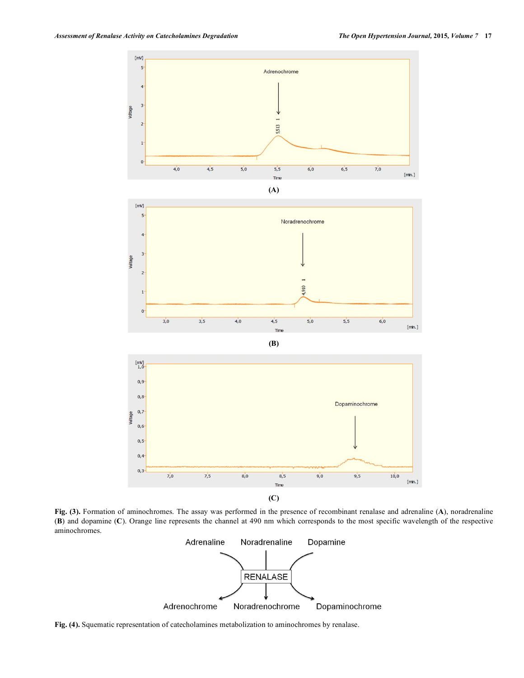

**Fig. (3).** Formation of aminochromes. The assay was performed in the presence of recombinant renalase and adrenaline (**A**), noradrenaline (**B**) and dopamine (**C**). Orange line represents the channel at 490 nm which corresponds to the most specific wavelength of the respective aminochromes.



**Fig. (4).** Squematic representation of catecholamines metabolization to aminochromes by renalase.